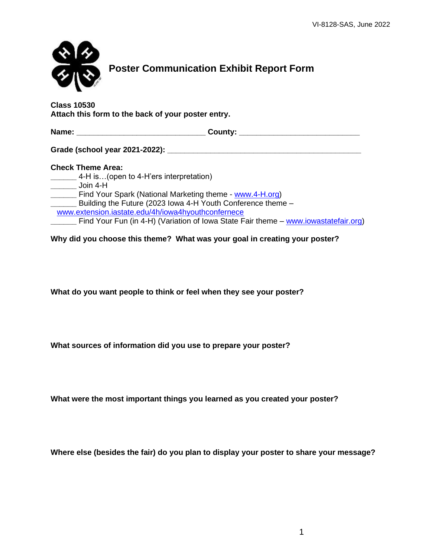

**Attach this form to the back of your poster entry.**

| Name:                                                       | County: |
|-------------------------------------------------------------|---------|
| Grade (school year 2021-2022): ___                          |         |
| <b>Check Theme Area:</b>                                    |         |
| 4-H is(open to 4-H'ers interpretation)                      |         |
| Join 4-H                                                    |         |
| Find Your Spark (National Marketing theme - www.4-H.org)    |         |
| Building the Future (2023 Iowa 4-H Youth Conference theme - |         |
| www.extension.iastate.edu/4h/iowa4hyouthconfernece          |         |

Find Your Fun (in 4-H) (Variation of Iowa State Fair theme – [www.iowastatefair.org\)](http://www.iowastatefair.org/)

**Why did you choose this theme? What was your goal in creating your poster?**

**What do you want people to think or feel when they see your poster?**

**What sources of information did you use to prepare your poster?**

**What were the most important things you learned as you created your poster?**

**Where else (besides the fair) do you plan to display your poster to share your message?**